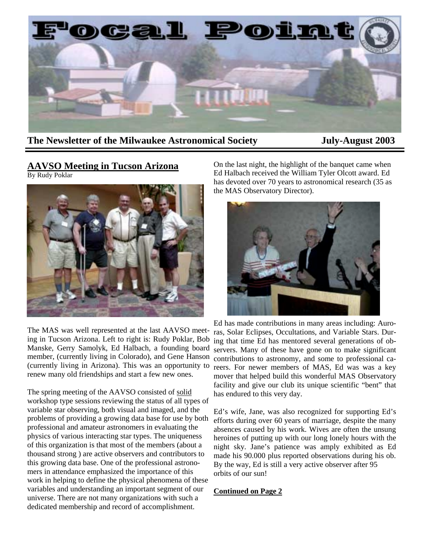

## **The Newsletter of the Milwaukee Astronomical Society July-August 2003**

### **AAVSO Meeting in Tucson Arizona**  By Rudy Poklar



The MAS was well represented at the last AAVSO meeting in Tucson Arizona. Left to right is: Rudy Poklar, Bob Manske, Gerry Samolyk, Ed Halbach, a founding board member, (currently living in Colorado), and Gene Hanson (currently living in Arizona). This was an opportunity to renew many old friendships and start a few new ones.

The spring meeting of the AAVSO consisted of solid workshop type sessions reviewing the status of all types of variable star observing, both visual and imaged, and the problems of providing a growing data base for use by both professional and amateur astronomers in evaluating the physics of various interacting star types. The uniqueness of this organization is that most of the members (about a thousand strong ) are active observers and contributors to this growing data base. One of the professional astronomers in attendance emphasized the importance of this work in helping to define the physical phenomena of these variables and understanding an important segment of our universe. There are not many organizations with such a dedicated membership and record of accomplishment.

On the last night, the highlight of the banquet came when Ed Halbach received the William Tyler Olcott award. Ed has devoted over 70 years to astronomical research (35 as the MAS Observatory Director).



Ed has made contributions in many areas including: Auroras, Solar Eclipses, Occultations, and Variable Stars. During that time Ed has mentored several generations of observers. Many of these have gone on to make significant contributions to astronomy, and some to professional careers. For newer members of MAS, Ed was was a key mover that helped build this wonderful MAS Observatory facility and give our club its unique scientific "bent" that has endured to this very day.

Ed's wife, Jane, was also recognized for supporting Ed's efforts during over 60 years of marriage, despite the many absences caused by his work. Wives are often the unsung heroines of putting up with our long lonely hours with the night sky. Jane's patience was amply exhibited as Ed made his 90.000 plus reported observations during his ob. By the way, Ed is still a very active observer after 95 orbits of our sun!

#### **Continued on Page 2**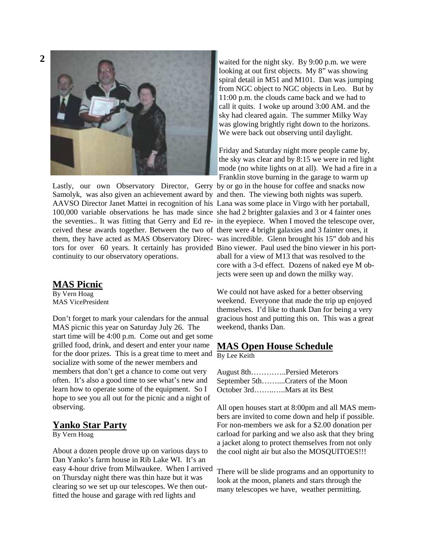

Lastly, our own Observatory Director, Gerry by or go in the house for coffee and snacks now Samolyk, was also given an achievement award by and then. The viewing both nights was superb. AAVSO Director Janet Mattei in recognition of his Lana was some place in Virgo with her portaball, 100,000 variable observations he has made since she had 2 brighter galaxies and 3 or 4 fainter ones the seventies.. It was fitting that Gerry and Ed re-in the eyepiece. When I moved the telescope over, ceived these awards together. Between the two of there were 4 bright galaxies and 3 fainter ones, it them, they have acted as MAS Observatory Direc-was incredible. Glenn brought his 15" dob and his tors for over 60 years. It certainly has provided Bino viewer. Paul used the bino viewer in his portcontinuity to our observatory operations.

## **MAS Picnic**

By Vern Hoag MAS VicePresident

Don't forget to mark your calendars for the annual MAS picnic this year on Saturday July 26. The start time will be 4:00 p.m. Come out and get some grilled food, drink, and desert and enter your name for the door prizes. This is a great time to meet and socialize with some of the newer members and members that don't get a chance to come out very often. It's also a good time to see what's new and learn how to operate some of the equipment. So I hope to see you all out for the picnic and a night of observing.

## **Yanko Star Party**

By Vern Hoag

About a dozen people drove up on various days to Dan Yanko's farm house in Rib Lake WI. It's an easy 4-hour drive from Milwaukee. When I arrived on Thursday night there was thin haze but it was clearing so we set up our telescopes. We then outfitted the house and garage with red lights and

waited for the night sky. By 9:00 p.m. we were looking at out first objects. My 8" was showing spiral detail in M51 and M101. Dan was jumping from NGC object to NGC objects in Leo. But by 11:00 p.m. the clouds came back and we had to call it quits. I woke up around 3:00 AM. and the sky had cleared again. The summer Milky Way was glowing brightly right down to the horizons. We were back out observing until daylight.

Friday and Saturday night more people came by, the sky was clear and by 8:15 we were in red light mode (no white lights on at all). We had a fire in a Franklin stove burning in the garage to warm up aball for a view of M13 that was resolved to the core with a 3-d effect. Dozens of naked eye M objects were seen up and down the milky way.

We could not have asked for a better observing weekend. Everyone that made the trip up enjoyed themselves. I'd like to thank Dan for being a very gracious host and putting this on. This was a great weekend, thanks Dan.

## **MAS Open House Schedule**

By Lee Keith

| August 8thPersied Meterors       |
|----------------------------------|
| September 5thCraters of the Moon |
| October 3rdMars at its Best      |

All open houses start at 8:00pm and all MAS members are invited to come down and help if possible. For non-members we ask for a \$2.00 donation per carload for parking and we also ask that they bring a jacket along to protect themselves from not only the cool night air but also the MOSQUITOES!!!

There will be slide programs and an opportunity to look at the moon, planets and stars through the many telescopes we have, weather permitting.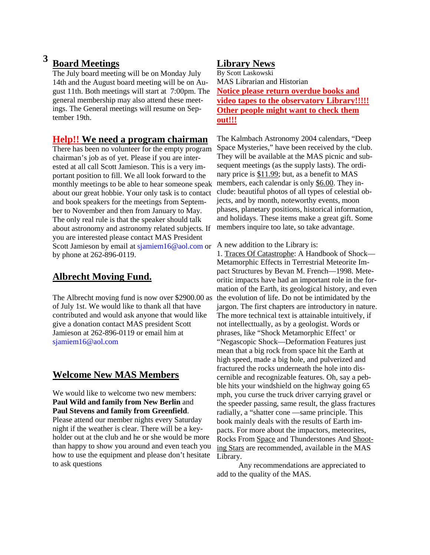## **3 Board Meetings**

The July board meeting will be on Monday July 14th and the August board meeting will be on August 11th. Both meetings will start at 7:00pm. The general membership may also attend these meetings. The General meetings will resume on September 19th.

## **Help!! We need a program chairman**

There has been no volunteer for the empty program chairman's job as of yet. Please if you are interested at all call Scott Jamieson. This is a very important position to fill. We all look forward to the monthly meetings to be able to hear someone speak about our great hobbie. Your only task is to contact and book speakers for the meetings from September to November and then from January to May. The only real rule is that the speaker should talk about astronomy and astronomy related subjects. If you are interested please contact MAS President Scott Jamieson by email at sjamiem16@aol.com or by phone at 262-896-0119.

## **Albrecht Moving Fund.**

The Albrecht moving fund is now over \$2900.00 as of July 1st. We would like to thank all that have contributed and would ask anyone that would like give a donation contact MAS president Scott Jamieson at 262-896-0119 or email him at sjamiem16@aol.com

## **Welcome New MAS Members**

We would like to welcome two new members: **Paul Wild and family from New Berlin** and **Paul Stevens and family from Greenfield**. Please attend our member nights every Saturday night if the weather is clear. There will be a keyholder out at the club and he or she would be more than happy to show you around and even teach you how to use the equipment and please don't hesitate to ask questions

## **Library News**

By Scott Laskowski MAS Librarian and Historian **Notice please return overdue books and video tapes to the observatory Library!!!!! Other people might want to check them out!!!**

The Kalmbach Astronomy 2004 calendars, "Deep Space Mysteries," have been received by the club. They will be available at the MAS picnic and subsequent meetings (as the supply lasts). The ordinary price is \$11.99; but, as a benefit to MAS members, each calendar is only \$6.00. They include: beautiful photos of all types of celestial objects, and by month, noteworthy events, moon phases, planetary positions, historical information, and holidays. These items make a great gift. Some members inquire too late, so take advantage.

A new addition to the Library is:

1. Traces Of Catastrophe: A Handbook of Shock— Metamorphic Effects in Terrestrial Meteorite Impact Structures by Bevan M. French—1998. Meteoritic impacts have had an important role in the formation of the Earth, its geological history, and even the evolution of life. Do not be intimidated by the jargon. The first chapters are introductory in nature. The more technical text is attainable intuitively, if not intellecttually, as by a geologist. Words or phrases, like "Shock Metamorphic Effect' or "Negascopic Shock—Deformation Features just mean that a big rock from space hit the Earth at high speed, made a big hole, and pulverized and fractured the rocks underneath the hole into discernible and recognizable features. Oh, say a pebble hits your windshield on the highway going 65 mph, you curse the truck driver carrying gravel or the speeder passing, same result, the glass fractures radially, a "shatter cone —same principle. This book mainly deals with the results of Earth impacts. For more about the impactors, meteorites, Rocks From Space and Thunderstones And Shooting Stars are recommended, available in the MAS Library.

Any recommendations are appreciated to add to the quality of the MAS.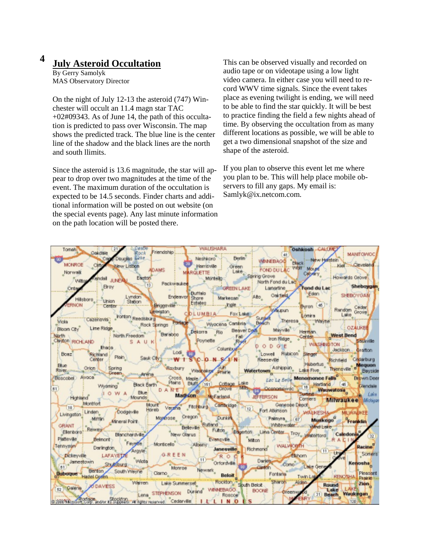# **4 July Asteroid Occultation**

By Gerry Samolyk MAS Observatory Director

On the night of July 12-13 the asteroid (747) Winchester will occult an 11.4 magn star TAC  $+02\text{\#}09343$ . As of June 14, the path of this occultation is predicted to pass over Wisconsin. The map shows the predicted track. The blue line is the center line of the shadow and the black lines are the north and south llimits.

Since the asteroid is 13.6 magnitude, the star will appear to drop over two magnitudes at the time of the event. The maximum duration of the occultation is expected to be 14.5 seconds. Finder charts and additional information will be posted on out website (on the special events page). Any last minute information on the path location will be posted there.

This can be observed visually and recorded on audio tape or on videotape using a low light video camera. In either case you will need to record WWV time signals. Since the event takes place as evening twilight is ending, we will need to be able to find the star quickly. It will be best to practice finding the field a few nights ahead of time. By observing the occultation from as many different locations as possible, we will be able to get a two dimensional snapshot of the size and shape of the asteroid.

If you plan to observe this event let me where you plan to be. This will help place mobile observers to fill any gaps. My email is: Samlyk@ix.netcom.com.

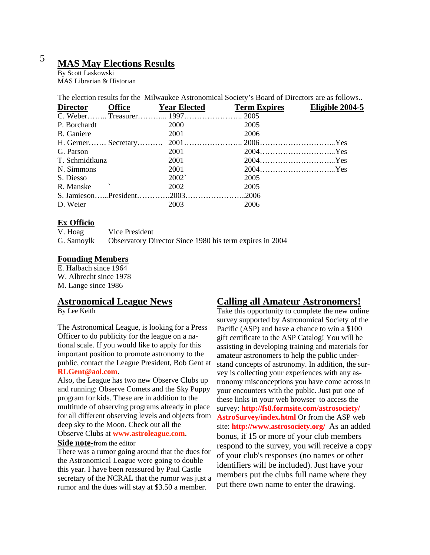# <sup>5</sup>**MAS May Elections Results**

By Scott Laskowski MAS Librarian & Historian

The election results for the Milwaukee Astronomical Society's Board of Directors are as follows..

| Office Year Elected<br><b>Director</b> |                | <b>Term Expires</b> | Eligible 2004-5 |
|----------------------------------------|----------------|---------------------|-----------------|
|                                        |                |                     |                 |
| P. Borchardt                           | 2000           | 2005                |                 |
| B. Ganiere                             | 2001           | 2006                |                 |
|                                        |                |                     |                 |
| G. Parson                              | 2001           |                     |                 |
| T. Schmidtkunz                         | 2001           |                     |                 |
| N. Simmons                             | 2001           |                     |                 |
| S. Diesso                              | $2002^{\circ}$ | 2005                |                 |
| $\mathcal{N}$<br>R. Manske             | 2002           | 2005                |                 |
|                                        |                |                     |                 |
| D. Weier                               | 2003           | 2006                |                 |

### **Ex Officio**

V. Hoag Vice President G. Samoylk Observatory Director Since 1980 his term expires in 2004

### **Founding Members**

E. Halbach since 1964 W. Albrecht since 1978 M. Lange since 1986

## **Astronomical League News**

By Lee Keith

The Astronomical League, is looking for a Press Officer to do publicity for the league on a national scale. If you would like to apply for this important position to promote astronomy to the public, contact the League President, Bob Gent at **RLGent@aol.com**.

Also, the League has two new Observe Clubs up and running: Observe Comets and the Sky Puppy program for kids. These are in addition to the multitude of observing programs already in place for all different observing levels and objects from deep sky to the Moon. Check out all the

Observe Clubs at **www.astroleague.com**.

#### **Side note-**from the editor

There was a rumor going around that the dues for the Astronomical League were going to double this year. I have been reassured by Paul Castle secretary of the NCRAL that the rumor was just a rumor and the dues will stay at \$3.50 a member.

## **Calling all Amateur Astronomers!**

Take this opportunity to complete the new online survey supported by Astronomical Society of the Pacific (ASP) and have a chance to win a \$100 gift certificate to the ASP Catalog! You will be assisting in developing training and materials for amateur astronomers to help the public understand concepts of astronomy. In addition, the survey is collecting your experiences with any astronomy misconceptions you have come across in your encounters with the public. Just put one of these links in your web browser to access the survey: **http://fs8.formsite.com/astrosociety/ AstroSurvey/index.html** Or from the ASP web site: **http://www.astrosociety.org/** As an added bonus, if 15 or more of your club members respond to the survey, you will receive a copy of your club's responses (no names or other identifiers will be included). Just have your members put the clubs full name where they put there own name to enter the drawing.